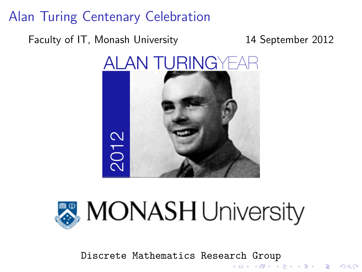Faculty of IT, Monash University 14 September 2012





Discrete Mathematics Research Group<br>Allexandric Research Group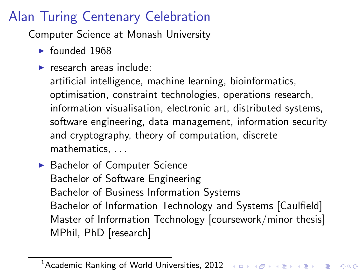Computer Science at Monash University

- $\blacktriangleright$  founded 1968
- $\blacktriangleright$  research areas include:

artificial intelligence, machine learning, bioinformatics, optimisation, constraint technologies, operations research, information visualisation, electronic art, distributed systems, software engineering, data management, information security and cryptography, theory of computation, discrete mathematics, . . .

▶ Bachelor of Computer Science Bachelor of Software Engineering Bachelor of Business Information Systems Bachelor of Information Technology and Systems [Caulfield] Master of Information Technology [coursework/minor thesis] MPhil, PhD [research]

<sup>1</sup> Academic Ranking of World Universities, 2012 And Algebra and Algebra and Okle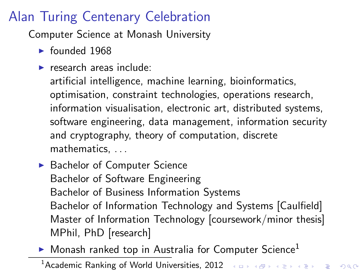Computer Science at Monash University

- $\blacktriangleright$  founded 1968
- $\blacktriangleright$  research areas include:

artificial intelligence, machine learning, bioinformatics, optimisation, constraint technologies, operations research, information visualisation, electronic art, distributed systems, software engineering, data management, information security and cryptography, theory of computation, discrete mathematics, . . .

- ▶ Bachelor of Computer Science Bachelor of Software Engineering Bachelor of Business Information Systems Bachelor of Information Technology and Systems [Caulfield] Master of Information Technology [coursework/minor thesis] MPhil, PhD [research]
- $\blacktriangleright$  Monash ranked top in Australia for Computer Science<sup>1</sup>

<sup>1</sup> Academic Ranking of World Universities, 2012 And Algebra and Algebra and Okle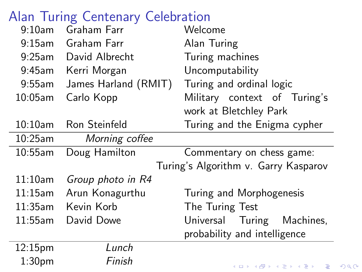| 9:10am     | Graham Farr          | Welcome                              |
|------------|----------------------|--------------------------------------|
| $9:15$ am  | Graham Farr          | Alan Turing                          |
| $9:25$ am  | David Albrecht       | Turing machines                      |
| 9:45am     | Kerri Morgan         | Uncomputability                      |
| $9:55$ am  | James Harland (RMIT) | Turing and ordinal logic             |
| $10:05$ am | Carlo Kopp           | Military context of Turing's         |
|            |                      | work at Bletchley Park               |
| $10:10$ am | Ron Steinfeld        | Turing and the Enigma cypher         |
| $10:25$ am | Morning coffee       |                                      |
| 10:55am    | Doug Hamilton        | Commentary on chess game:            |
|            |                      | Turing's Algorithm v. Garry Kasparov |
| 11:10am    | Group photo in R4    |                                      |
| $11:15$ am | Arun Konagurthu      | Turing and Morphogenesis             |
| 11:35am    | Kevin Korb           | The Turing Test                      |
| 11:55am    | David Dowe           | Universal Turing Machines,           |
|            |                      | probability and intelligence         |
|            |                      |                                      |
| 12:15pm    | Lunch                |                                      |

 $2990$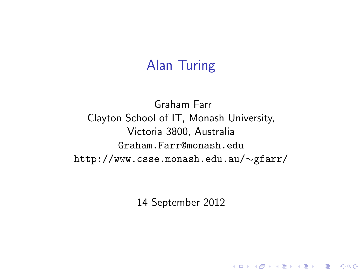#### Alan Turing

Graham Farr Clayton School of IT, Monash University, Victoria 3800, Australia Graham.Farr@monash.edu http://www.csse.monash.edu.au/∼gfarr/

14 September 2012

K ロ ▶ K @ ▶ K 할 > K 할 > 1 할 > 1 이익어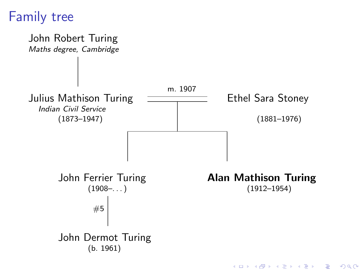### Family tree

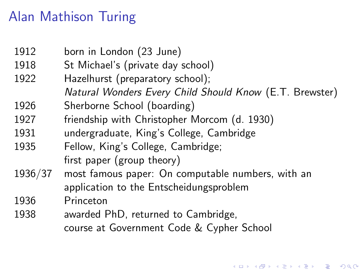# Alan Mathison Turing

| 1912    | born in London (23 June)                                |  |
|---------|---------------------------------------------------------|--|
| 1918    | St Michael's (private day school)                       |  |
| 1922    | Hazelhurst (preparatory school);                        |  |
|         | Natural Wonders Every Child Should Know (E.T. Brewster) |  |
| 1926    | Sherborne School (boarding)                             |  |
| 1927    | friendship with Christopher Morcom (d. 1930)            |  |
| 1931    | undergraduate, King's College, Cambridge                |  |
| 1935    | Fellow, King's College, Cambridge;                      |  |
|         | first paper (group theory)                              |  |
| 1936/37 | most famous paper: On computable numbers, with an       |  |
|         | application to the Entscheidungsproblem                 |  |
| 1936    | Princeton                                               |  |
| 1938    | awarded PhD, returned to Cambridge,                     |  |
|         | course at Government Code & Cypher School               |  |

K ロ ▶ K @ ▶ K 할 ▶ K 할 ▶ ... 할 ... 9 Q Q ·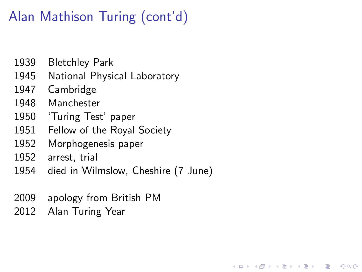# Alan Mathison Turing (cont'd)

- 1939 Bletchley Park
- 1945 National Physical Laboratory
- 1947 Cambridge
- 1948 Manchester
- 1950 'Turing Test' paper
- 1951 Fellow of the Royal Society
- 1952 Morphogenesis paper
- 1952 arrest, trial
- 1954 died in Wilmslow, Cheshire (7 June)

**KORK STRAIN A BAR SHOP** 

- 2009 apology from British PM
- 2012 Alan Turing Year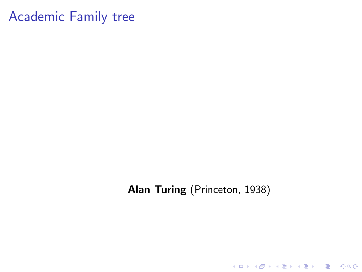Alan Turing (Princeton, 1938)

**K ロ ▶ K 레 ▶ K 로 ▶ K 로 ▶ - 로 - K 이 이 이 이**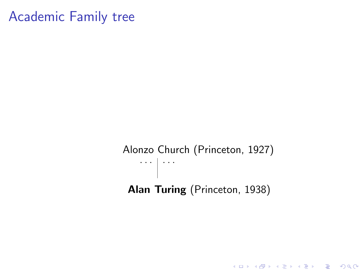Alonzo Church (Princeton, 1927)  $\cdots$   $\cdots$ Alan Turing (Princeton, 1938)

KO KKOK KEK KEK LE I DAG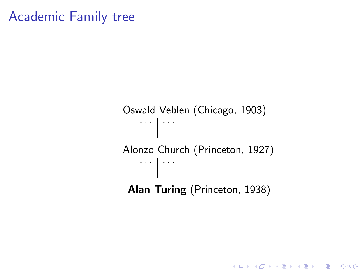Oswald Veblen (Chicago, 1903) . . . .  $\vert \cdots \vert$ Alonzo Church (Princeton, 1927)  $\cdots$   $\vert \cdots$ Alan Turing (Princeton, 1938)

K ロ ▶ K @ ▶ K 할 > K 할 > 1 할 > 1 이익어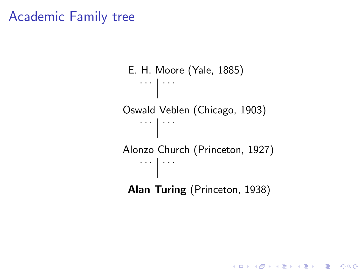```
E. H. Moore (Yale, 1885)
\cdots \cdotsOswald Veblen (Chicago, 1903)
\cdots \cdotsAlonzo Church (Princeton, 1927)
\cdots \cdotsAlan Turing (Princeton, 1938)
```
**KOD KARD KED KED E VOOR**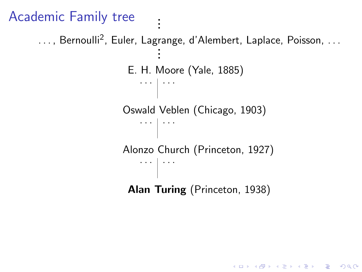```
Academic Family tree .
```
. ..., Bernoulli<sup>2</sup>, Euler, Lagrange, d'Alembert, Laplace, Poisson, ...<br>. . . E. H. Moore (Yale, 1885)  $\cdots$   $\cdots$ Oswald Veblen (Chicago, 1903)  $\mathbb{R}^n$  . . . Alonzo Church (Princeton, 1927)  $\cdots$   $\cdots$ Alan Turing (Princeton, 1938)

.

**KORK STRAIN A BAR SHOP**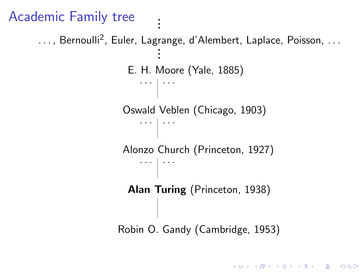```
Academic Family tree .
                                 .
                                 .
    ..., Bernoulli<sup>2</sup>, Euler, Lagrange, d'Alembert, Laplace, Poisson, ...<br>.
                                 .
                                 .
                         E. H. Moore (Yale, 1885)
                            \cdots \cdotsOswald Veblen (Chicago, 1903)
                            \mathbb{R}^n . . .
                        Alonzo Church (Princeton, 1927)
                            \cdots \cdotsAlan Turing (Princeton, 1938)
                       Robin O. Gandy (Cambridge, 1953)
```
**KOD KARD KED KED E VOOR**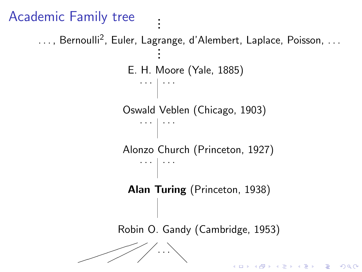```
Academic Family tree .
                                 .
                                 .
    ..., Bernoulli<sup>2</sup>, Euler, Lagrange, d'Alembert, Laplace, Poisson, ...<br>.
                                 .
                                 .
                         E. H. Moore (Yale, 1885)
                            \cdots \cdotsOswald Veblen (Chicago, 1903)
                            \cdots \cdotsAlonzo Church (Princeton, 1927)
                            \cdots \vert \cdotsAlan Turing (Princeton, 1938)
                       Robin O. Gandy (Cambridge, 1953)
                       ✏✏
                          ✟✟
                  ✏✏
                       \diagup/. .\searrow✏✏
                     ✟
                            ∕
                                      ╲
                                                   K ロ X K 個 X X 差 X X 差 X … 差
                                                                            2990
```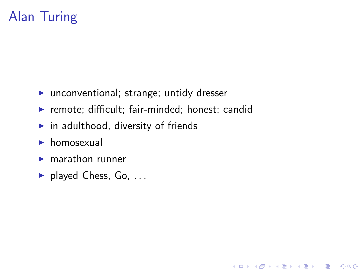## Alan Turing

- $\blacktriangleright$  unconventional; strange; untidy dresser
- $\blacktriangleright$  remote; difficult; fair-minded; honest; candid

K ロ ▶ K @ ▶ K 할 > K 할 > 1 할 > 1 이익어

- $\blacktriangleright$  in adulthood, diversity of friends
- $\blacktriangleright$  homosexual
- $\blacktriangleright$  marathon runner
- $\blacktriangleright$  played Chess, Go, ...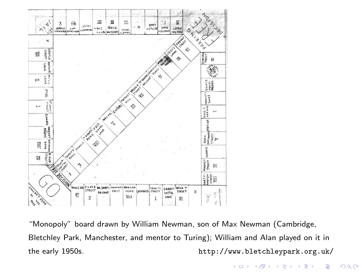

"Monopoly" board drawn by William Newman, son of Max Newman (Cambridge, Bletchley Park, Manchester, and mentor to Turing); William and Alan played on it in the early 1950s. http://www.bletchleypark.org.uk/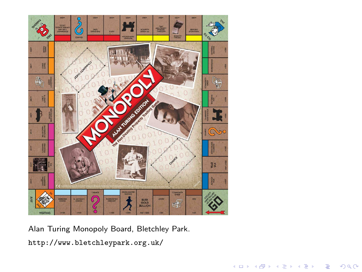

Alan Turing Monopoly Board, Bletchley Park. http://www.bletchleypark.org.uk/

イロト イ部 トイモト イモ

 $290$ 

Þ